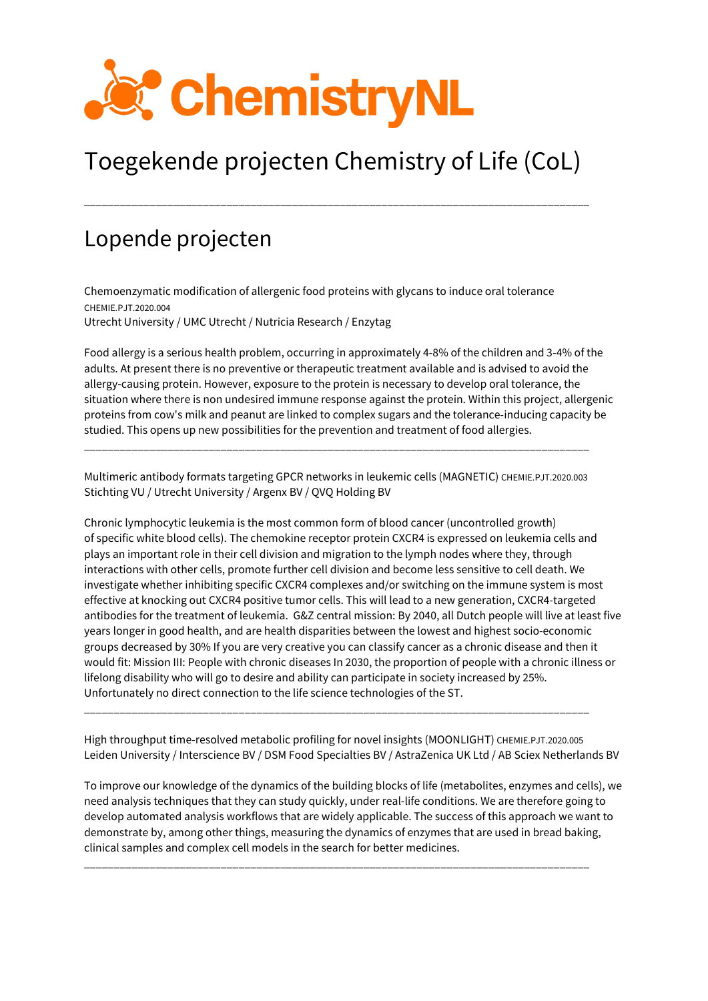

## Toegekende projecten Chemistry of Life (CoL)

\_\_\_\_\_\_\_\_\_\_\_\_\_\_\_\_\_\_\_\_\_\_\_\_\_\_\_\_\_\_\_\_\_\_\_\_\_\_\_\_\_\_\_\_\_\_\_\_\_\_\_\_\_\_\_\_\_\_\_\_\_\_\_\_\_\_\_\_\_\_\_\_\_\_\_\_\_\_\_\_\_\_\_\_\_

## Lopende projecten

Chemoenzymatic modification of allergenic food proteins with glycans to induce oral tolerance CHEMIE.PJT.2020.004 Utrecht University / UMC Utrecht / Nutricia Research / Enzytag

Food allergy is a serious health problem, occurring in approximately 4-8% of the children and 3-4% of the adults. At present there is no preventive or therapeutic treatment available and is advised to avoid the allergy-causing protein. However, exposure to the protein is necessary to develop oral tolerance, the situation where there is non undesired immune response against the protein. Within this project, allergenic proteins from cow's milk and peanut are linked to complex sugars and the tolerance-inducing capacity be studied. This opens up new possibilities for the prevention and treatment of food allergies.

Multimeric antibody formats targeting GPCR networks in leukemic cells (MAGNETIC) CHEMIE.PJT.2020.003 Stichting VU / Utrecht University / Argenx BV / QVQ Holding BV

\_\_\_\_\_\_\_\_\_\_\_\_\_\_\_\_\_\_\_\_\_\_\_\_\_\_\_\_\_\_\_\_\_\_\_\_\_\_\_\_\_\_\_\_\_\_\_\_\_\_\_\_\_\_\_\_\_\_\_\_\_\_\_\_\_\_\_\_\_\_\_\_\_\_\_\_\_\_\_\_\_\_\_\_\_

Chronic lymphocytic leukemia is the most common form of blood cancer (uncontrolled growth) of specific white blood cells). The chemokine receptor protein CXCR4 is expressed on leukemia cells and plays an important role in their cell division and migration to the lymph nodes where they, through interactions with other cells, promote further cell division and become less sensitive to cell death. We investigate whether inhibiting specific CXCR4 complexes and/or switching on the immune system is most effective at knocking out CXCR4 positive tumor cells. This will lead to a new generation, CXCR4-targeted antibodies for the treatment of leukemia. G&Z central mission: By 2040, all Dutch people will live at least five years longer in good health, and are health disparities between the lowest and highest socio-economic groups decreased by 30% If you are very creative you can classify cancer as a chronic disease and then it would fit: Mission III: People with chronic diseases In 2030, the proportion of people with a chronic illness or lifelong disability who will go to desire and ability can participate in society increased by 25%. Unfortunately no direct connection to the life science technologies of the ST.

High throughput time-resolved metabolic profiling for novel insights (MOONLIGHT) CHEMIE.PJT.2020.005 Leiden University / Interscience BV / DSM Food Specialties BV / AstraZenica UK Ltd / AB Sciex Netherlands BV

\_\_\_\_\_\_\_\_\_\_\_\_\_\_\_\_\_\_\_\_\_\_\_\_\_\_\_\_\_\_\_\_\_\_\_\_\_\_\_\_\_\_\_\_\_\_\_\_\_\_\_\_\_\_\_\_\_\_\_\_\_\_\_\_\_\_\_\_\_\_\_\_\_\_\_\_\_\_\_\_\_\_\_\_\_

To improve our knowledge of the dynamics of the building blocks of life (metabolites, enzymes and cells), we need analysis techniques that they can study quickly, under real-life conditions. We are therefore going to develop automated analysis workflows that are widely applicable. The success of this approach we want to demonstrate by, among other things, measuring the dynamics of enzymes that are used in bread baking, clinical samples and complex cell models in the search for better medicines.

\_\_\_\_\_\_\_\_\_\_\_\_\_\_\_\_\_\_\_\_\_\_\_\_\_\_\_\_\_\_\_\_\_\_\_\_\_\_\_\_\_\_\_\_\_\_\_\_\_\_\_\_\_\_\_\_\_\_\_\_\_\_\_\_\_\_\_\_\_\_\_\_\_\_\_\_\_\_\_\_\_\_\_\_\_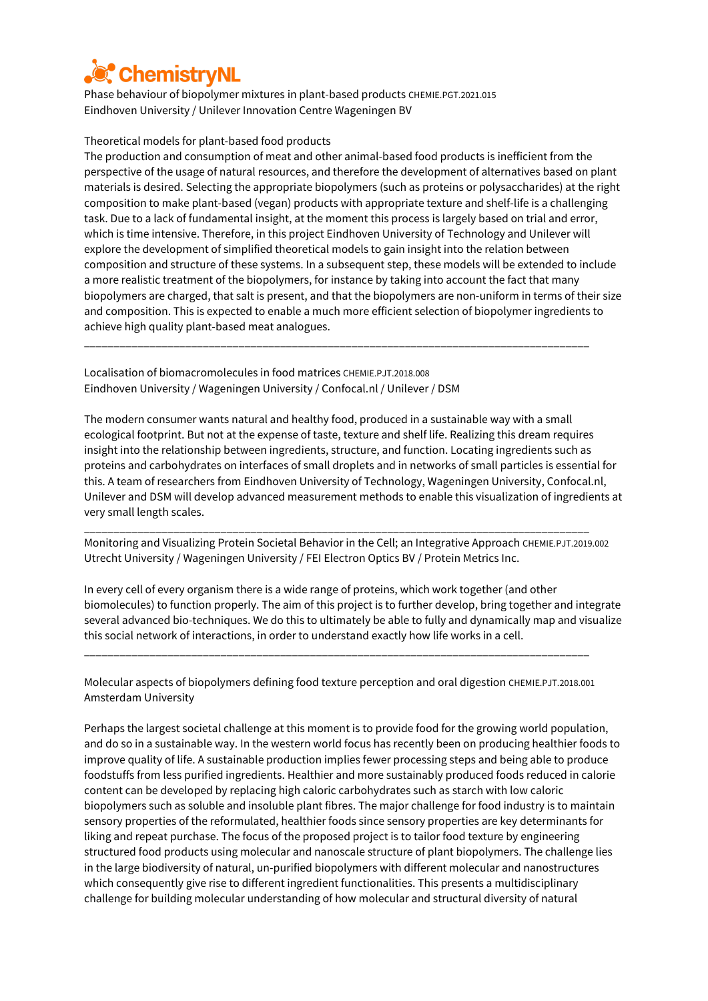

Phase behaviour of biopolymer mixtures in plant-based products CHEMIE.PGT.2021.015 Eindhoven University / Unilever Innovation Centre Wageningen BV

## Theoretical models for plant-based food products

The production and consumption of meat and other animal-based food products is inefficient from the perspective of the usage of natural resources, and therefore the development of alternatives based on plant materials is desired. Selecting the appropriate biopolymers (such as proteins or polysaccharides) at the right composition to make plant-based (vegan) products with appropriate texture and shelf-life is a challenging task. Due to a lack of fundamental insight, at the moment this process is largely based on trial and error, which is time intensive. Therefore, in this project Eindhoven University of Technology and Unilever will explore the development of simplified theoretical models to gain insight into the relation between composition and structure of these systems. In a subsequent step, these models will be extended to include a more realistic treatment of the biopolymers, for instance by taking into account the fact that many biopolymers are charged, that salt is present, and that the biopolymers are non-uniform in terms of their size and composition. This is expected to enable a much more efficient selection of biopolymer ingredients to achieve high quality plant-based meat analogues.

\_\_\_\_\_\_\_\_\_\_\_\_\_\_\_\_\_\_\_\_\_\_\_\_\_\_\_\_\_\_\_\_\_\_\_\_\_\_\_\_\_\_\_\_\_\_\_\_\_\_\_\_\_\_\_\_\_\_\_\_\_\_\_\_\_\_\_\_\_\_\_\_\_\_\_\_\_\_\_\_\_\_\_\_\_

Localisation of biomacromolecules in food matrices CHEMIE.PJT.2018.008 Eindhoven University / Wageningen University / Confocal.nl / Unilever / DSM

The modern consumer wants natural and healthy food, produced in a sustainable way with a small ecological footprint. But not at the expense of taste, texture and shelf life. Realizing this dream requires insight into the relationship between ingredients, structure, and function. Locating ingredients such as proteins and carbohydrates on interfaces of small droplets and in networks of small particles is essential for this. A team of researchers from Eindhoven University of Technology, Wageningen University, Confocal.nl, Unilever and DSM will develop advanced measurement methods to enable this visualization of ingredients at very small length scales.

Monitoring and Visualizing Protein Societal Behavior in the Cell; an Integrative Approach CHEMIE.PJT.2019.002 Utrecht University / Wageningen University / FEI Electron Optics BV / Protein Metrics Inc.

\_\_\_\_\_\_\_\_\_\_\_\_\_\_\_\_\_\_\_\_\_\_\_\_\_\_\_\_\_\_\_\_\_\_\_\_\_\_\_\_\_\_\_\_\_\_\_\_\_\_\_\_\_\_\_\_\_\_\_\_\_\_\_\_\_\_\_\_\_\_\_\_\_\_\_\_\_\_\_\_\_\_\_\_\_

In every cell of every organism there is a wide range of proteins, which work together (and other biomolecules) to function properly. The aim of this project is to further develop, bring together and integrate several advanced bio-techniques. We do this to ultimately be able to fully and dynamically map and visualize this social network of interactions, in order to understand exactly how life works in a cell.

Molecular aspects of biopolymers defining food texture perception and oral digestion CHEMIE.PJT.2018.001 Amsterdam University

\_\_\_\_\_\_\_\_\_\_\_\_\_\_\_\_\_\_\_\_\_\_\_\_\_\_\_\_\_\_\_\_\_\_\_\_\_\_\_\_\_\_\_\_\_\_\_\_\_\_\_\_\_\_\_\_\_\_\_\_\_\_\_\_\_\_\_\_\_\_\_\_\_\_\_\_\_\_\_\_\_\_\_\_\_

Perhaps the largest societal challenge at this moment is to provide food for the growing world population, and do so in a sustainable way. In the western world focus has recently been on producing healthier foods to improve quality of life. A sustainable production implies fewer processing steps and being able to produce foodstuffs from less purified ingredients. Healthier and more sustainably produced foods reduced in calorie content can be developed by replacing high caloric carbohydrates such as starch with low caloric biopolymers such as soluble and insoluble plant fibres. The major challenge for food industry is to maintain sensory properties of the reformulated, healthier foods since sensory properties are key determinants for liking and repeat purchase. The focus of the proposed project is to tailor food texture by engineering structured food products using molecular and nanoscale structure of plant biopolymers. The challenge lies in the large biodiversity of natural, un-purified biopolymers with different molecular and nanostructures which consequently give rise to different ingredient functionalities. This presents a multidisciplinary challenge for building molecular understanding of how molecular and structural diversity of natural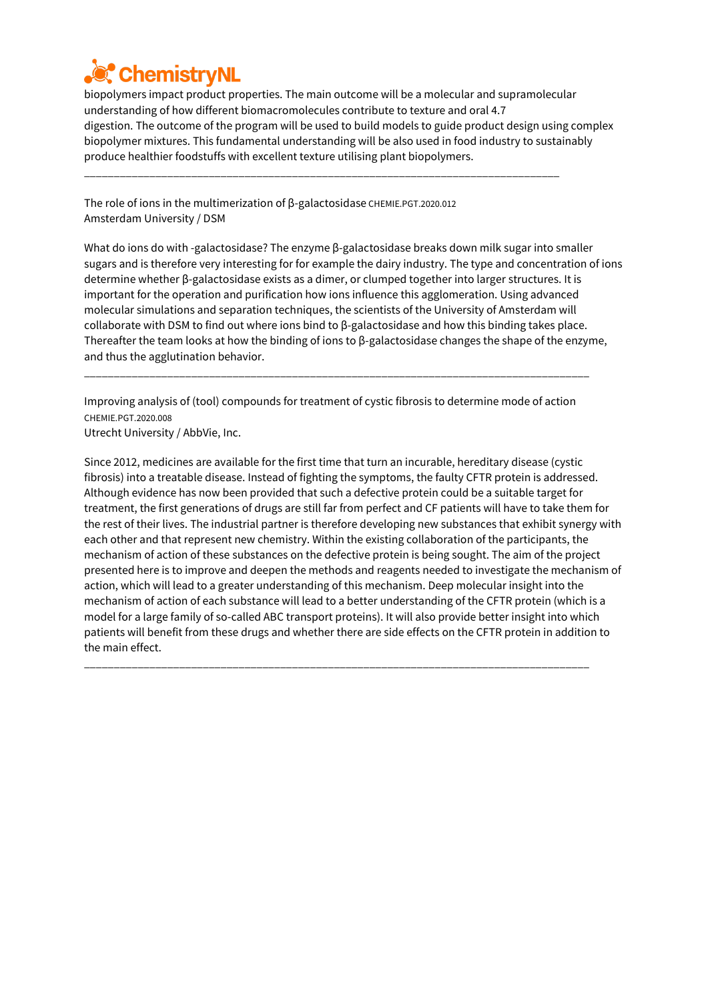

biopolymers impact product properties. The main outcome will be a molecular and supramolecular understanding of how different biomacromolecules contribute to texture and oral 4.7 digestion. The outcome of the program will be used to build models to guide product design using complex biopolymer mixtures. This fundamental understanding will be also used in food industry to sustainably produce healthier foodstuffs with excellent texture utilising plant biopolymers.

\_\_\_\_\_\_\_\_\_\_\_\_\_\_\_\_\_\_\_\_\_\_\_\_\_\_\_\_\_\_\_\_\_\_\_\_\_\_\_\_\_\_\_\_\_\_\_\_\_\_\_\_\_\_\_\_\_\_\_\_\_\_\_\_\_\_\_\_\_\_\_\_\_\_\_\_\_\_\_\_

The role of ions in the multimerization of β-galactosidase CHEMIE.PGT.2020.012 Amsterdam University / DSM

What do ions do with -galactosidase? The enzyme β-galactosidase breaks down milk sugar into smaller sugars and is therefore very interesting for for example the dairy industry. The type and concentration of ions determine whether β-galactosidase exists as a dimer, or clumped together into larger structures. It is important for the operation and purification how ions influence this agglomeration. Using advanced molecular simulations and separation techniques, the scientists of the University of Amsterdam will collaborate with DSM to find out where ions bind to β-galactosidase and how this binding takes place. Thereafter the team looks at how the binding of ions to β-galactosidase changes the shape of the enzyme, and thus the agglutination behavior.

Improving analysis of (tool) compounds for treatment of cystic fibrosis to determine mode of action CHEMIE.PGT.2020.008

\_\_\_\_\_\_\_\_\_\_\_\_\_\_\_\_\_\_\_\_\_\_\_\_\_\_\_\_\_\_\_\_\_\_\_\_\_\_\_\_\_\_\_\_\_\_\_\_\_\_\_\_\_\_\_\_\_\_\_\_\_\_\_\_\_\_\_\_\_\_\_\_\_\_\_\_\_\_\_\_\_\_\_\_\_

Utrecht University / AbbVie, Inc.

Since 2012, medicines are available for the first time that turn an incurable, hereditary disease (cystic fibrosis) into a treatable disease. Instead of fighting the symptoms, the faulty CFTR protein is addressed. Although evidence has now been provided that such a defective protein could be a suitable target for treatment, the first generations of drugs are still far from perfect and CF patients will have to take them for the rest of their lives. The industrial partner is therefore developing new substances that exhibit synergy with each other and that represent new chemistry. Within the existing collaboration of the participants, the mechanism of action of these substances on the defective protein is being sought. The aim of the project presented here is to improve and deepen the methods and reagents needed to investigate the mechanism of action, which will lead to a greater understanding of this mechanism. Deep molecular insight into the mechanism of action of each substance will lead to a better understanding of the CFTR protein (which is a model for a large family of so-called ABC transport proteins). It will also provide better insight into which patients will benefit from these drugs and whether there are side effects on the CFTR protein in addition to the main effect.

\_\_\_\_\_\_\_\_\_\_\_\_\_\_\_\_\_\_\_\_\_\_\_\_\_\_\_\_\_\_\_\_\_\_\_\_\_\_\_\_\_\_\_\_\_\_\_\_\_\_\_\_\_\_\_\_\_\_\_\_\_\_\_\_\_\_\_\_\_\_\_\_\_\_\_\_\_\_\_\_\_\_\_\_\_